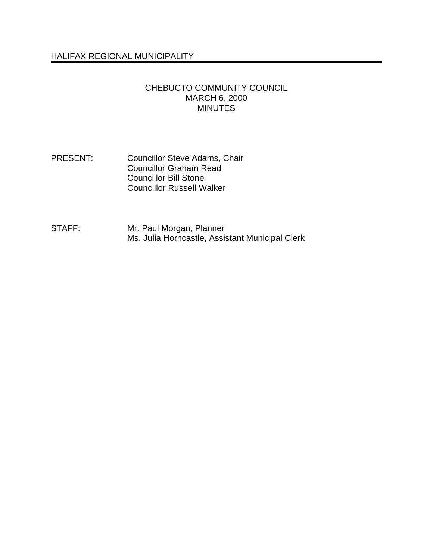# HALIFAX REGIONAL MUNICIPALITY

### CHEBUCTO COMMUNITY COUNCIL MARCH 6, 2000 **MINUTES**

#### PRESENT: Councillor Steve Adams, Chair Councillor Graham Read Councillor Bill Stone Councillor Russell Walker

#### STAFF: Mr. Paul Morgan, Planner Ms. Julia Horncastle, Assistant Municipal Clerk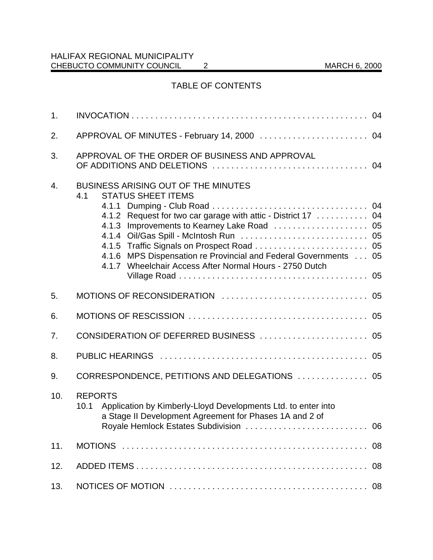# TABLE OF CONTENTS

| 1 <sub>1</sub> |                                                                                                                                                                                                                                                                                                                             |    |
|----------------|-----------------------------------------------------------------------------------------------------------------------------------------------------------------------------------------------------------------------------------------------------------------------------------------------------------------------------|----|
| 2.             | APPROVAL OF MINUTES - February 14, 2000  04                                                                                                                                                                                                                                                                                 |    |
| 3.             | APPROVAL OF THE ORDER OF BUSINESS AND APPROVAL                                                                                                                                                                                                                                                                              |    |
| 4.             | <b>BUSINESS ARISING OUT OF THE MINUTES</b><br><b>STATUS SHEET ITEMS</b><br>4.1<br>4.1.2 Request for two car garage with attic - District 17 04<br>4.1.3 Improvements to Kearney Lake Road  05<br>4.1.6 MPS Dispensation re Provincial and Federal Governments 05<br>4.1.7 Wheelchair Access After Normal Hours - 2750 Dutch |    |
| 5.             |                                                                                                                                                                                                                                                                                                                             |    |
| 6.             |                                                                                                                                                                                                                                                                                                                             |    |
| 7.             |                                                                                                                                                                                                                                                                                                                             |    |
| 8.             |                                                                                                                                                                                                                                                                                                                             |    |
| 9.             | CORRESPONDENCE, PETITIONS AND DELEGATIONS  05                                                                                                                                                                                                                                                                               |    |
| 10.            | <b>REPORTS</b><br>Application by Kimberly-Lloyd Developments Ltd. to enter into<br>10.1<br>a Stage II Development Agreement for Phases 1A and 2 of                                                                                                                                                                          |    |
| 11.            |                                                                                                                                                                                                                                                                                                                             |    |
| 12.            |                                                                                                                                                                                                                                                                                                                             | 08 |
| 13.            |                                                                                                                                                                                                                                                                                                                             |    |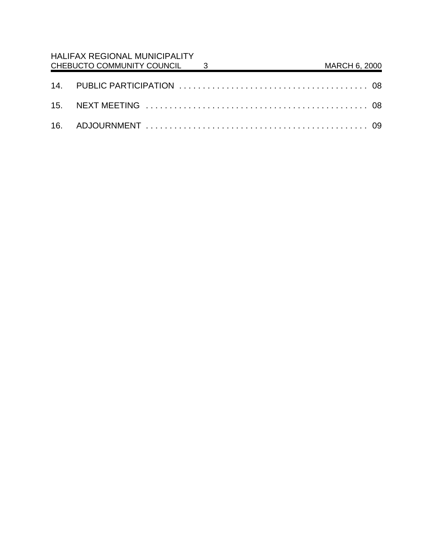| <b>HALIFAX REGIONAL MUNICIPALITY</b><br>CHEBUCTO COMMUNITY COUNCIL 3 |  | MARCH 6, 2000 |  |
|----------------------------------------------------------------------|--|---------------|--|
|                                                                      |  |               |  |
|                                                                      |  |               |  |
|                                                                      |  |               |  |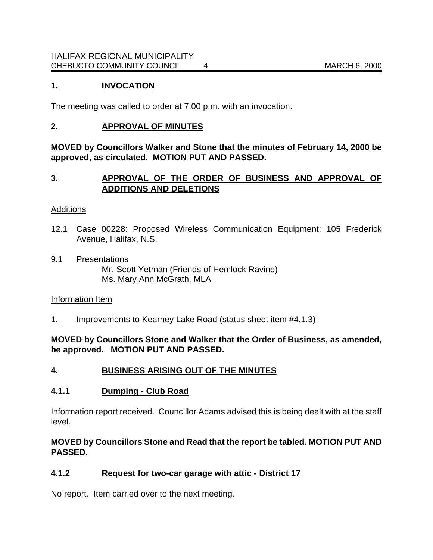# **1. INVOCATION**

The meeting was called to order at 7:00 p.m. with an invocation.

### **2. APPROVAL OF MINUTES**

**MOVED by Councillors Walker and Stone that the minutes of February 14, 2000 be approved, as circulated. MOTION PUT AND PASSED.**

## **3. APPROVAL OF THE ORDER OF BUSINESS AND APPROVAL OF ADDITIONS AND DELETIONS**

#### **Additions**

- 12.1 Case 00228: Proposed Wireless Communication Equipment: 105 Frederick Avenue, Halifax, N.S.
- 9.1 Presentations Mr. Scott Yetman (Friends of Hemlock Ravine) Ms. Mary Ann McGrath, MLA

#### Information Item

1. Improvements to Kearney Lake Road (status sheet item #4.1.3)

**MOVED by Councillors Stone and Walker that the Order of Business, as amended, be approved. MOTION PUT AND PASSED.**

#### **4. BUSINESS ARISING OUT OF THE MINUTES**

#### **4.1.1 Dumping - Club Road**

Information report received. Councillor Adams advised this is being dealt with at the staff level.

## **MOVED by Councillors Stone and Read that the report be tabled. MOTION PUT AND PASSED.**

### **4.1.2 Request for two-car garage with attic - District 17**

No report. Item carried over to the next meeting.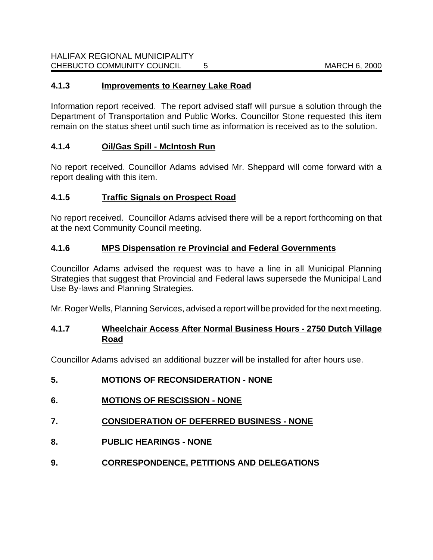# **4.1.3 Improvements to Kearney Lake Road**

Information report received. The report advised staff will pursue a solution through the Department of Transportation and Public Works. Councillor Stone requested this item remain on the status sheet until such time as information is received as to the solution.

# **4.1.4 Oil/Gas Spill - McIntosh Run**

No report received. Councillor Adams advised Mr. Sheppard will come forward with a report dealing with this item.

## **4.1.5 Traffic Signals on Prospect Road**

No report received. Councillor Adams advised there will be a report forthcoming on that at the next Community Council meeting.

## **4.1.6 MPS Dispensation re Provincial and Federal Governments**

Councillor Adams advised the request was to have a line in all Municipal Planning Strategies that suggest that Provincial and Federal laws supersede the Municipal Land Use By-laws and Planning Strategies.

Mr. Roger Wells, Planning Services, advised a report will be provided for the next meeting.

## **4.1.7 Wheelchair Access After Normal Business Hours - 2750 Dutch Village Road**

Councillor Adams advised an additional buzzer will be installed for after hours use.

| J. | ь | <b>MOTIONS OF RECONSIDERATION - NONE</b> |
|----|---|------------------------------------------|
|----|---|------------------------------------------|

- **6. MOTIONS OF RESCISSION NONE**
- **7. CONSIDERATION OF DEFERRED BUSINESS NONE**
- **8. PUBLIC HEARINGS NONE**
- **9. CORRESPONDENCE, PETITIONS AND DELEGATIONS**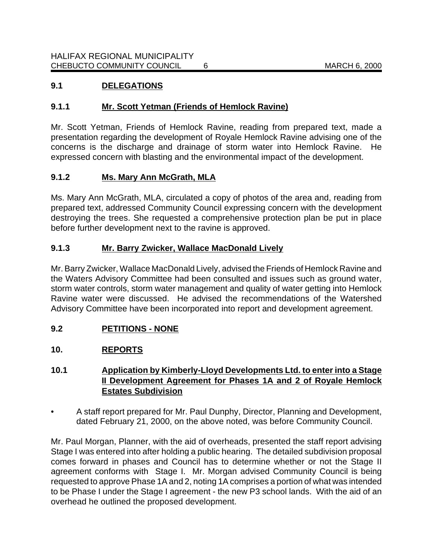# **9.1 DELEGATIONS**

# **9.1.1 Mr. Scott Yetman (Friends of Hemlock Ravine)**

Mr. Scott Yetman, Friends of Hemlock Ravine, reading from prepared text, made a presentation regarding the development of Royale Hemlock Ravine advising one of the concerns is the discharge and drainage of storm water into Hemlock Ravine. He expressed concern with blasting and the environmental impact of the development.

# **9.1.2 Ms. Mary Ann McGrath, MLA**

Ms. Mary Ann McGrath, MLA, circulated a copy of photos of the area and, reading from prepared text, addressed Community Council expressing concern with the development destroying the trees. She requested a comprehensive protection plan be put in place before further development next to the ravine is approved.

# **9.1.3 Mr. Barry Zwicker, Wallace MacDonald Lively**

Mr. Barry Zwicker, Wallace MacDonald Lively, advised the Friends of Hemlock Ravine and the Waters Advisory Committee had been consulted and issues such as ground water, storm water controls, storm water management and quality of water getting into Hemlock Ravine water were discussed. He advised the recommendations of the Watershed Advisory Committee have been incorporated into report and development agreement.

# **9.2 PETITIONS - NONE**

# **10. REPORTS**

# **10.1 Application by Kimberly-Lloyd Developments Ltd. to enter into a Stage II Development Agreement for Phases 1A and 2 of Royale Hemlock Estates Subdivision**

• A staff report prepared for Mr. Paul Dunphy, Director, Planning and Development, dated February 21, 2000, on the above noted, was before Community Council.

Mr. Paul Morgan, Planner, with the aid of overheads, presented the staff report advising Stage I was entered into after holding a public hearing. The detailed subdivision proposal comes forward in phases and Council has to determine whether or not the Stage II agreement conforms with Stage I. Mr. Morgan advised Community Council is being requested to approve Phase 1A and 2, noting 1A comprises a portion of what was intended to be Phase I under the Stage I agreement - the new P3 school lands. With the aid of an overhead he outlined the proposed development.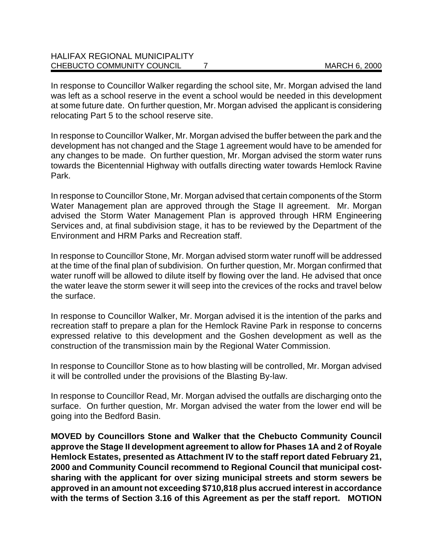In response to Councillor Walker regarding the school site, Mr. Morgan advised the land was left as a school reserve in the event a school would be needed in this development at some future date. On further question, Mr. Morgan advised the applicant is considering relocating Part 5 to the school reserve site.

In response to Councillor Walker, Mr. Morgan advised the buffer between the park and the development has not changed and the Stage 1 agreement would have to be amended for any changes to be made. On further question, Mr. Morgan advised the storm water runs towards the Bicentennial Highway with outfalls directing water towards Hemlock Ravine Park.

In response to Councillor Stone, Mr. Morgan advised that certain components of the Storm Water Management plan are approved through the Stage II agreement. Mr. Morgan advised the Storm Water Management Plan is approved through HRM Engineering Services and, at final subdivision stage, it has to be reviewed by the Department of the Environment and HRM Parks and Recreation staff.

In response to Councillor Stone, Mr. Morgan advised storm water runoff will be addressed at the time of the final plan of subdivision. On further question, Mr. Morgan confirmed that water runoff will be allowed to dilute itself by flowing over the land. He advised that once the water leave the storm sewer it will seep into the crevices of the rocks and travel below the surface.

In response to Councillor Walker, Mr. Morgan advised it is the intention of the parks and recreation staff to prepare a plan for the Hemlock Ravine Park in response to concerns expressed relative to this development and the Goshen development as well as the construction of the transmission main by the Regional Water Commission.

In response to Councillor Stone as to how blasting will be controlled, Mr. Morgan advised it will be controlled under the provisions of the Blasting By-law.

In response to Councillor Read, Mr. Morgan advised the outfalls are discharging onto the surface. On further question, Mr. Morgan advised the water from the lower end will be going into the Bedford Basin.

**MOVED by Councillors Stone and Walker that the Chebucto Community Council approve the Stage II development agreement to allow for Phases 1A and 2 of Royale Hemlock Estates, presented as Attachment IV to the staff report dated February 21, 2000 and Community Council recommend to Regional Council that municipal costsharing with the applicant for over sizing municipal streets and storm sewers be approved in an amount not exceeding \$710,818 plus accrued interest in accordance with the terms of Section 3.16 of this Agreement as per the staff report. MOTION**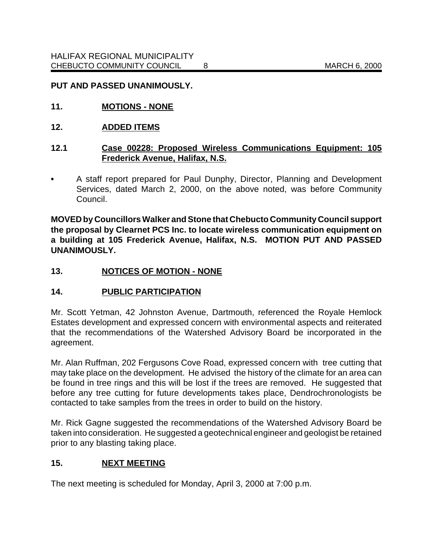### **PUT AND PASSED UNANIMOUSLY.**

- **11. MOTIONS NONE**
- **12. ADDED ITEMS**

### **12.1 Case 00228: Proposed Wireless Communications Equipment: 105 Frederick Avenue, Halifax, N.S.**

**•** A staff report prepared for Paul Dunphy, Director, Planning and Development Services, dated March 2, 2000, on the above noted, was before Community Council.

**MOVED by Councillors Walker and Stone that Chebucto Community Council support the proposal by Clearnet PCS Inc. to locate wireless communication equipment on a building at 105 Frederick Avenue, Halifax, N.S. MOTION PUT AND PASSED UNANIMOUSLY.**

## **13. NOTICES OF MOTION - NONE**

#### **14. PUBLIC PARTICIPATION**

Mr. Scott Yetman, 42 Johnston Avenue, Dartmouth, referenced the Royale Hemlock Estates development and expressed concern with environmental aspects and reiterated that the recommendations of the Watershed Advisory Board be incorporated in the agreement.

Mr. Alan Ruffman, 202 Fergusons Cove Road, expressed concern with tree cutting that may take place on the development. He advised the history of the climate for an area can be found in tree rings and this will be lost if the trees are removed. He suggested that before any tree cutting for future developments takes place, Dendrochronologists be contacted to take samples from the trees in order to build on the history.

Mr. Rick Gagne suggested the recommendations of the Watershed Advisory Board be taken into consideration. He suggested a geotechnical engineer and geologist be retained prior to any blasting taking place.

### **15. NEXT MEETING**

The next meeting is scheduled for Monday, April 3, 2000 at 7:00 p.m.